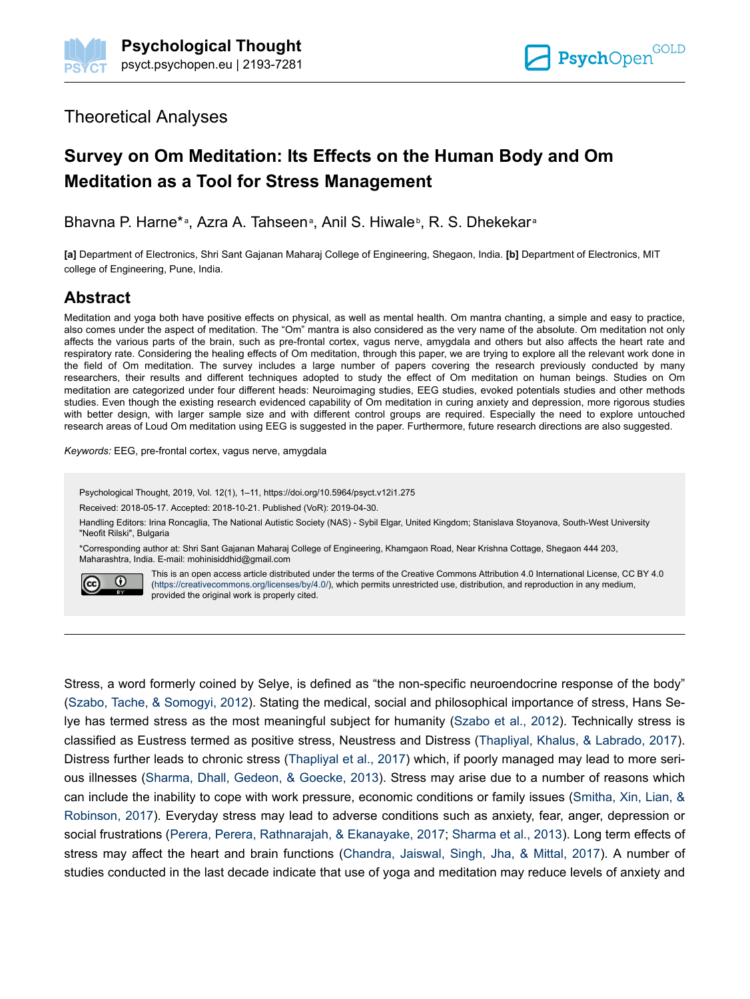## Theoretical Analyses

# **Survey on Om Meditation: Its Effects on the Human Body and Om Meditation as a Tool for Stress Management**

Bhavna P. Harne\*<sup>a</sup>, Azra A. Tahseen<sup>a</sup>, Anil S. Hiwale<sup>b</sup>, R. S. Dhekekar<sup>a</sup>

**[a]** Department of Electronics, Shri Sant Gajanan Maharaj College of Engineering, Shegaon, India. **[b]** Department of Electronics, MIT college of Engineering, Pune, India.

# **Abstract**

Meditation and yoga both have positive effects on physical, as well as mental health. Om mantra chanting, a simple and easy to practice, also comes under the aspect of meditation. The "Om" mantra is also considered as the very name of the absolute. Om meditation not only affects the various parts of the brain, such as pre-frontal cortex, vagus nerve, amygdala and others but also affects the heart rate and respiratory rate. Considering the healing effects of Om meditation, through this paper, we are trying to explore all the relevant work done in the field of Om meditation. The survey includes a large number of papers covering the research previously conducted by many researchers, their results and different techniques adopted to study the effect of Om meditation on human beings. Studies on Om meditation are categorized under four different heads: Neuroimaging studies, EEG studies, evoked potentials studies and other methods studies. Even though the existing research evidenced capability of Om meditation in curing anxiety and depression, more rigorous studies with better design, with larger sample size and with different control groups are required. Especially the need to explore untouched research areas of Loud Om meditation using EEG is suggested in the paper. Furthermore, future research directions are also suggested.

*Keywords:* EEG, pre-frontal cortex, vagus nerve, amygdala

Psychological Thought, 2019, Vol. 12(1), 1–11, https://doi.org/10.5964/psyct.v12i1.275

Received: 2018-05-17. Accepted: 2018-10-21. Published (VoR): 2019-04-30.

Handling Editors: Irina Roncaglia, The National Autistic Society (NAS) - Sybil Elgar, United Kingdom; Stanislava Stoyanova, South-West University "Neofit Rilski", Bulgaria

\*Corresponding author at: Shri Sant Gajanan Maharaj College of Engineering, Khamgaon Road, Near Krishna Cottage, Shegaon 444 203, Maharashtra, India. E-mail: mohinisiddhid@gmail.com



This is an open access article distributed under the terms of the Creative Commons Attribution 4.0 International License, CC BY 4.0 ([https://creativecommons.org/licenses/by/4.0/\)](https://creativecommons.org/licenses/by/4.0/), which permits unrestricted use, distribution, and reproduction in any medium, provided the original work is properly cited.

Stress, a word formerly coined by Selye, is defined as "the non-specific neuroendocrine response of the body" [\(Szabo, Tache, & Somogyi, 2012](#page-10-0)). Stating the medical, social and philosophical importance of stress, Hans Selye has termed stress as the most meaningful subject for humanity ([Szabo et al., 2012](#page-10-0)). Technically stress is classified as Eustress termed as positive stress, Neustress and Distress ([Thapliyal, Khalus, & Labrado, 2017](#page-10-0)). Distress further leads to chronic stress [\(Thapliyal et al., 2017](#page-10-0)) which, if poorly managed may lead to more serious illnesses ([Sharma, Dhall, Gedeon, & Goecke, 2013\)](#page-9-0). Stress may arise due to a number of reasons which can include the inability to cope with work pressure, economic conditions or family issues [\(Smitha, Xin, Lian, &](#page-10-0) [Robinson, 2017\)](#page-10-0). Everyday stress may lead to adverse conditions such as anxiety, fear, anger, depression or social frustrations ([Perera, Perera, Rathnarajah, & Ekanayake, 2017; Sharma et al., 2013\)](#page-9-0). Long term effects of stress may affect the heart and brain functions ([Chandra, Jaiswal, Singh, Jha, & Mittal, 2017\)](#page-8-0). A number of studies conducted in the last decade indicate that use of yoga and meditation may reduce levels of anxiety and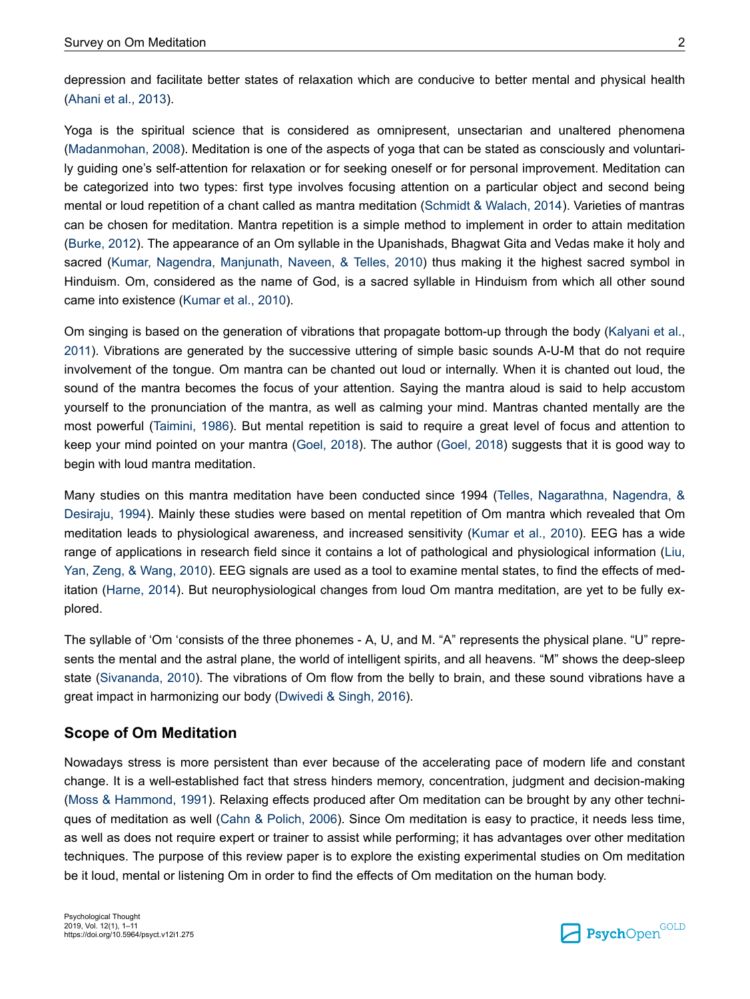depression and facilitate better states of relaxation which are conducive to better mental and physical health [\(Ahani et al., 2013](#page-8-0)).

Yoga is the spiritual science that is considered as omnipresent, unsectarian and unaltered phenomena [\(Madanmohan, 2008](#page-9-0)). Meditation is one of the aspects of yoga that can be stated as consciously and voluntarily guiding one's self-attention for relaxation or for seeking oneself or for personal improvement. Meditation can be categorized into two types: first type involves focusing attention on a particular object and second being mental or loud repetition of a chant called as mantra meditation [\(Schmidt & Walach, 2014\)](#page-9-0). Varieties of mantras can be chosen for meditation. Mantra repetition is a simple method to implement in order to attain meditation [\(Burke, 2012](#page-8-0)). The appearance of an Om syllable in the Upanishads, Bhagwat Gita and Vedas make it holy and sacred ([Kumar, Nagendra, Manjunath, Naveen, & Telles, 2010\)](#page-9-0) thus making it the highest sacred symbol in Hinduism. Om, considered as the name of God, is a sacred syllable in Hinduism from which all other sound came into existence ([Kumar et al., 2010](#page-9-0)).

Om singing is based on the generation of vibrations that propagate bottom-up through the body [\(Kalyani et al.,](#page-9-0) [2011\)](#page-9-0). Vibrations are generated by the successive uttering of simple basic sounds A-U-M that do not require involvement of the tongue. Om mantra can be chanted out loud or internally. When it is chanted out loud, the sound of the mantra becomes the focus of your attention. Saying the mantra aloud is said to help accustom yourself to the pronunciation of the mantra, as well as calming your mind. Mantras chanted mentally are the most powerful ([Taimini, 1986](#page-10-0)). But mental repetition is said to require a great level of focus and attention to keep your mind pointed on your mantra [\(Goel, 2018](#page-8-0)). The author [\(Goel, 2018\)](#page-8-0) suggests that it is good way to begin with loud mantra meditation.

Many studies on this mantra meditation have been conducted since 1994 [\(Telles, Nagarathna, Nagendra, &](#page-10-0) [Desiraju, 1994](#page-10-0)). Mainly these studies were based on mental repetition of Om mantra which revealed that Om meditation leads to physiological awareness, and increased sensitivity ([Kumar et al., 2010\)](#page-9-0). EEG has a wide range of applications in research field since it contains a lot of pathological and physiological information [\(Liu,](#page-9-0) [Yan, Zeng, & Wang, 2010](#page-9-0)). EEG signals are used as a tool to examine mental states, to find the effects of meditation [\(Harne, 2014](#page-8-0)). But neurophysiological changes from loud Om mantra meditation, are yet to be fully explored.

The syllable of 'Om 'consists of the three phonemes - A, U, and M. "A" represents the physical plane. "U" represents the mental and the astral plane, the world of intelligent spirits, and all heavens. "M" shows the deep-sleep state [\(Sivananda, 2010](#page-9-0)). The vibrations of Om flow from the belly to brain, and these sound vibrations have a great impact in harmonizing our body ([Dwivedi & Singh, 2016](#page-8-0)).

### **Scope of Om Meditation**

Nowadays stress is more persistent than ever because of the accelerating pace of modern life and constant change. It is a well-established fact that stress hinders memory, concentration, judgment and decision-making [\(Moss & Hammond, 1991](#page-9-0)). Relaxing effects produced after Om meditation can be brought by any other techniques of meditation as well [\(Cahn & Polich, 2006\)](#page-8-0). Since Om meditation is easy to practice, it needs less time, as well as does not require expert or trainer to assist while performing; it has advantages over other meditation techniques. The purpose of this review paper is to explore the existing experimental studies on Om meditation be it loud, mental or listening Om in order to find the effects of Om meditation on the human body.

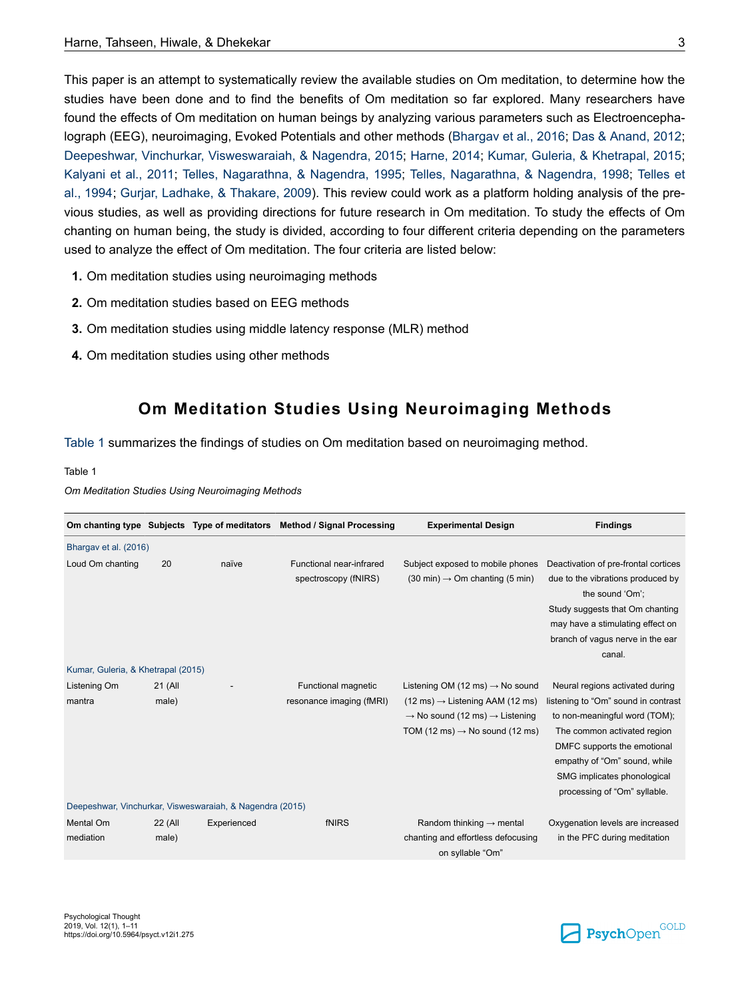This paper is an attempt to systematically review the available studies on Om meditation, to determine how the studies have been done and to find the benefits of Om meditation so far explored. Many researchers have found the effects of Om meditation on human beings by analyzing various parameters such as Electroencephalograph (EEG), neuroimaging, Evoked Potentials and other methods [\(Bhargav et al., 2016](#page-8-0); [Das & Anand, 2012](#page-8-0); [Deepeshwar, Vinchurkar, Visweswaraiah, & Nagendra, 2015](#page-8-0); [Harne, 2014;](#page-8-0) [Kumar, Guleria, & Khetrapal, 2015](#page-9-0); [Kalyani et al., 2011](#page-9-0); [Telles, Nagarathna, & Nagendra, 1995](#page-10-0); [Telles, Nagarathna, & Nagendra, 1998;](#page-10-0) [Telles et](#page-10-0) [al., 1994;](#page-10-0) [Gurjar, Ladhake, & Thakare, 2009\)](#page-8-0). This review could work as a platform holding analysis of the previous studies, as well as providing directions for future research in Om meditation. To study the effects of Om chanting on human being, the study is divided, according to four different criteria depending on the parameters used to analyze the effect of Om meditation. The four criteria are listed below:

- **1.** Om meditation studies using neuroimaging methods
- **2.** Om meditation studies based on EEG methods
- **3.** Om meditation studies using middle latency response (MLR) method
- **4.** Om meditation studies using other methods

## **Om Meditation Studies Using Neuroimaging Methods**

Table 1 summarizes the findings of studies on Om meditation based on neuroimaging method.

#### Table 1

*Om Meditation Studies Using Neuroimaging Methods*

|                                    |                  |                                                          | Om chanting type Subjects Type of meditators Method / Signal Processing | <b>Experimental Design</b>                                                                                                                                                                                 | <b>Findings</b>                                                                                                                                                                                                                                                      |
|------------------------------------|------------------|----------------------------------------------------------|-------------------------------------------------------------------------|------------------------------------------------------------------------------------------------------------------------------------------------------------------------------------------------------------|----------------------------------------------------------------------------------------------------------------------------------------------------------------------------------------------------------------------------------------------------------------------|
| Bhargav et al. (2016)              |                  |                                                          |                                                                         |                                                                                                                                                                                                            |                                                                                                                                                                                                                                                                      |
| Loud Om chanting                   | 20               | naïve                                                    | Functional near-infrared<br>spectroscopy (fNIRS)                        | Subject exposed to mobile phones<br>$(30 \text{ min}) \rightarrow \text{Om chanting}$ (5 min)                                                                                                              | Deactivation of pre-frontal cortices<br>due to the vibrations produced by<br>the sound 'Om':<br>Study suggests that Om chanting<br>may have a stimulating effect on<br>branch of vagus nerve in the ear<br>canal.                                                    |
| Kumar, Guleria, & Khetrapal (2015) |                  |                                                          |                                                                         |                                                                                                                                                                                                            |                                                                                                                                                                                                                                                                      |
| Listening Om<br>mantra             | 21 (All<br>male) |                                                          | <b>Functional magnetic</b><br>resonance imaging (fMRI)                  | Listening OM (12 ms) $\rightarrow$ No sound<br>$(12 \text{ ms}) \rightarrow$ Listening AAM (12 ms)<br>$\rightarrow$ No sound (12 ms) $\rightarrow$ Listening<br>TOM (12 ms) $\rightarrow$ No sound (12 ms) | Neural regions activated during<br>listening to "Om" sound in contrast<br>to non-meaningful word (TOM);<br>The common activated region<br>DMFC supports the emotional<br>empathy of "Om" sound, while<br>SMG implicates phonological<br>processing of "Om" syllable. |
|                                    |                  | Deepeshwar, Vinchurkar, Visweswaraiah, & Nagendra (2015) |                                                                         |                                                                                                                                                                                                            |                                                                                                                                                                                                                                                                      |
| Mental Om<br>mediation             | 22 (All<br>male) | Experienced                                              | fNIRS                                                                   | Random thinking $\rightarrow$ mental<br>chanting and effortless defocusing<br>on syllable "Om"                                                                                                             | Oxygenation levels are increased<br>in the PFC during meditation                                                                                                                                                                                                     |

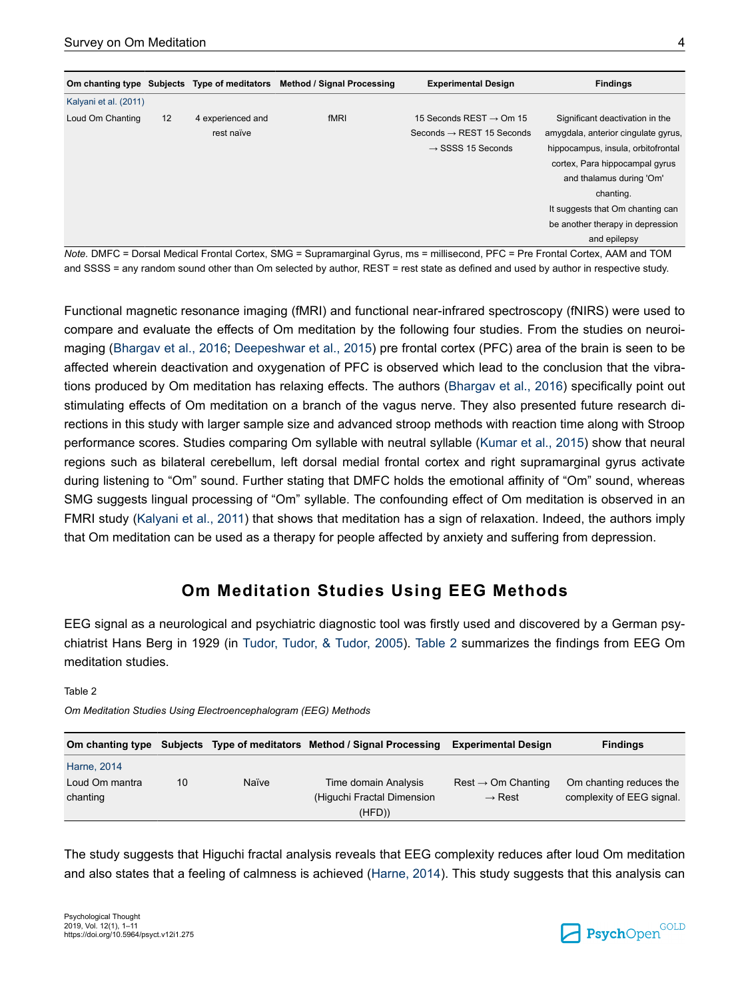|                       |    | Om chanting type Subjects Type of meditators | Method / Signal Processing | <b>Experimental Design</b>            | <b>Findings</b>                     |
|-----------------------|----|----------------------------------------------|----------------------------|---------------------------------------|-------------------------------------|
| Kalyani et al. (2011) |    |                                              |                            |                                       |                                     |
| Loud Om Chanting      | 12 | 4 experienced and                            | fMRI                       | 15 Seconds REST $\rightarrow$ Om 15   | Significant deactivation in the     |
|                       |    | rest naïve                                   |                            | Seconds $\rightarrow$ REST 15 Seconds | amygdala, anterior cingulate gyrus, |
|                       |    |                                              |                            | $\rightarrow$ SSSS 15 Seconds         | hippocampus, insula, orbitofrontal  |
|                       |    |                                              |                            |                                       | cortex, Para hippocampal gyrus      |
|                       |    |                                              |                            |                                       | and thalamus during 'Om'            |
|                       |    |                                              |                            |                                       | chanting.                           |
|                       |    |                                              |                            |                                       | It suggests that Om chanting can    |
|                       |    |                                              |                            |                                       | be another therapy in depression    |
|                       |    |                                              |                            |                                       | and epilepsy                        |

*Note.* DMFC = Dorsal Medical Frontal Cortex, SMG = Supramarginal Gyrus, ms = millisecond, PFC = Pre Frontal Cortex, AAM and TOM and SSSS = any random sound other than Om selected by author, REST = rest state as defined and used by author in respective study.

Functional magnetic resonance imaging (fMRI) and functional near-infrared spectroscopy (fNIRS) were used to compare and evaluate the effects of Om meditation by the following four studies. From the studies on neuroimaging ([Bhargav et al., 2016](#page-8-0); [Deepeshwar et al., 2015](#page-8-0)) pre frontal cortex (PFC) area of the brain is seen to be affected wherein deactivation and oxygenation of PFC is observed which lead to the conclusion that the vibrations produced by Om meditation has relaxing effects. The authors [\(Bhargav et al., 2016](#page-8-0)) specifically point out stimulating effects of Om meditation on a branch of the vagus nerve. They also presented future research directions in this study with larger sample size and advanced stroop methods with reaction time along with Stroop performance scores. Studies comparing Om syllable with neutral syllable [\(Kumar et al., 2015\)](#page-9-0) show that neural regions such as bilateral cerebellum, left dorsal medial frontal cortex and right supramarginal gyrus activate during listening to "Om" sound. Further stating that DMFC holds the emotional affinity of "Om" sound, whereas SMG suggests lingual processing of "Om" syllable. The confounding effect of Om meditation is observed in an FMRI study ([Kalyani et al., 2011](#page-9-0)) that shows that meditation has a sign of relaxation. Indeed, the authors imply that Om meditation can be used as a therapy for people affected by anxiety and suffering from depression.

# **Om Meditation Studies Using EEG Methods**

EEG signal as a neurological and psychiatric diagnostic tool was firstly used and discovered by a German psychiatrist Hans Berg in 1929 (in [Tudor, Tudor, & Tudor, 2005](#page-10-0)). Table 2 summarizes the findings from EEG Om meditation studies.

Table 2

*Om Meditation Studies Using Electroencephalogram (EEG) Methods*

| Om chanting type |    |       | Subjects Type of meditators Method / Signal Processing | <b>Experimental Design</b>     | <b>Findings</b>           |
|------------------|----|-------|--------------------------------------------------------|--------------------------------|---------------------------|
| Harne, 2014      |    |       |                                                        |                                |                           |
| Loud Om mantra   | 10 | Naïve | Time domain Analysis                                   | $Rest \rightarrow Om$ Chanting | Om chanting reduces the   |
| chanting         |    |       | (Higuchi Fractal Dimension                             | $\rightarrow$ Rest             | complexity of EEG signal. |
|                  |    |       | (HFD))                                                 |                                |                           |

The study suggests that Higuchi fractal analysis reveals that EEG complexity reduces after loud Om meditation and also states that a feeling of calmness is achieved ([Harne, 2014](#page-8-0)). This study suggests that this analysis can

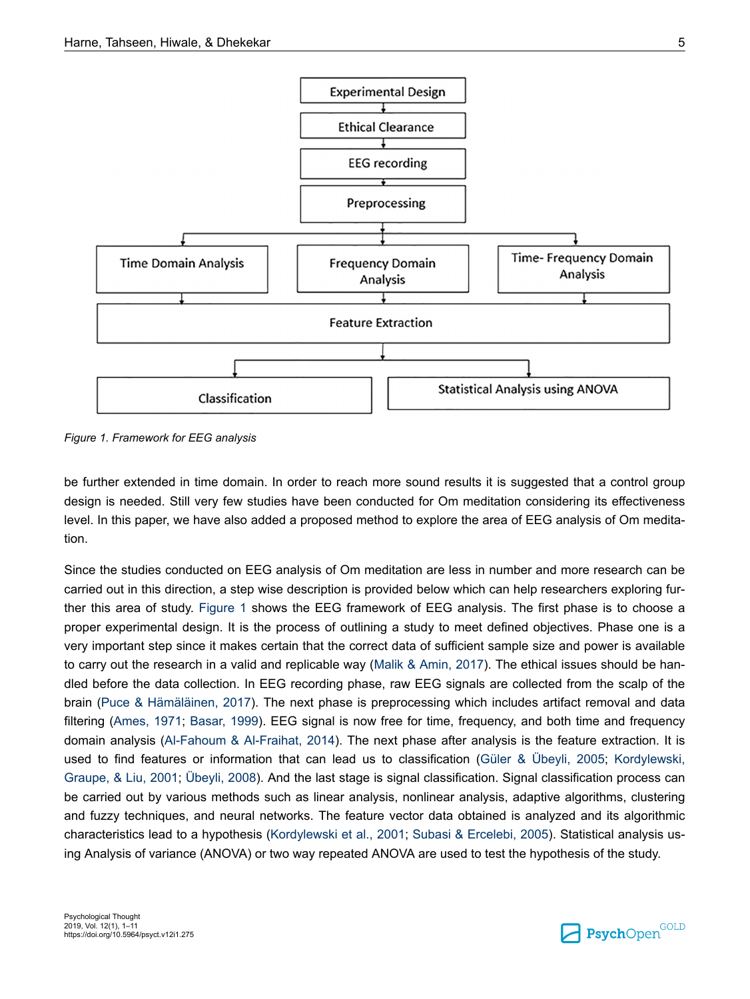

*Figure 1. Framework for EEG analysis*

be further extended in time domain. In order to reach more sound results it is suggested that a control group design is needed. Still very few studies have been conducted for Om meditation considering its effectiveness level. In this paper, we have also added a proposed method to explore the area of EEG analysis of Om meditation.

Since the studies conducted on EEG analysis of Om meditation are less in number and more research can be carried out in this direction, a step wise description is provided below which can help researchers exploring further this area of study. Figure 1 shows the EEG framework of EEG analysis. The first phase is to choose a proper experimental design. It is the process of outlining a study to meet defined objectives. Phase one is a very important step since it makes certain that the correct data of sufficient sample size and power is available to carry out the research in a valid and replicable way [\(Malik & Amin, 2017](#page-9-0)). The ethical issues should be handled before the data collection. In EEG recording phase, raw EEG signals are collected from the scalp of the brain [\(Puce & Hämäläinen, 2017](#page-9-0)). The next phase is preprocessing which includes artifact removal and data filtering [\(Ames, 1971;](#page-8-0) [Basar, 1999](#page-8-0)). EEG signal is now free for time, frequency, and both time and frequency domain analysis ([Al-Fahoum & Al-Fraihat, 2014](#page-8-0)). The next phase after analysis is the feature extraction. It is used to find features or information that can lead us to classification ([Güler & Übeyli, 2005](#page-8-0); [Kordylewski,](#page-9-0) [Graupe, & Liu, 2001;](#page-9-0) [Übeyli, 2008](#page-10-0)). And the last stage is signal classification. Signal classification process can be carried out by various methods such as linear analysis, nonlinear analysis, adaptive algorithms, clustering and fuzzy techniques, and neural networks. The feature vector data obtained is analyzed and its algorithmic characteristics lead to a hypothesis ([Kordylewski et al., 2001;](#page-9-0) [Subasi & Ercelebi, 2005\)](#page-10-0). Statistical analysis using Analysis of variance (ANOVA) or two way repeated ANOVA are used to test the hypothesis of the study.

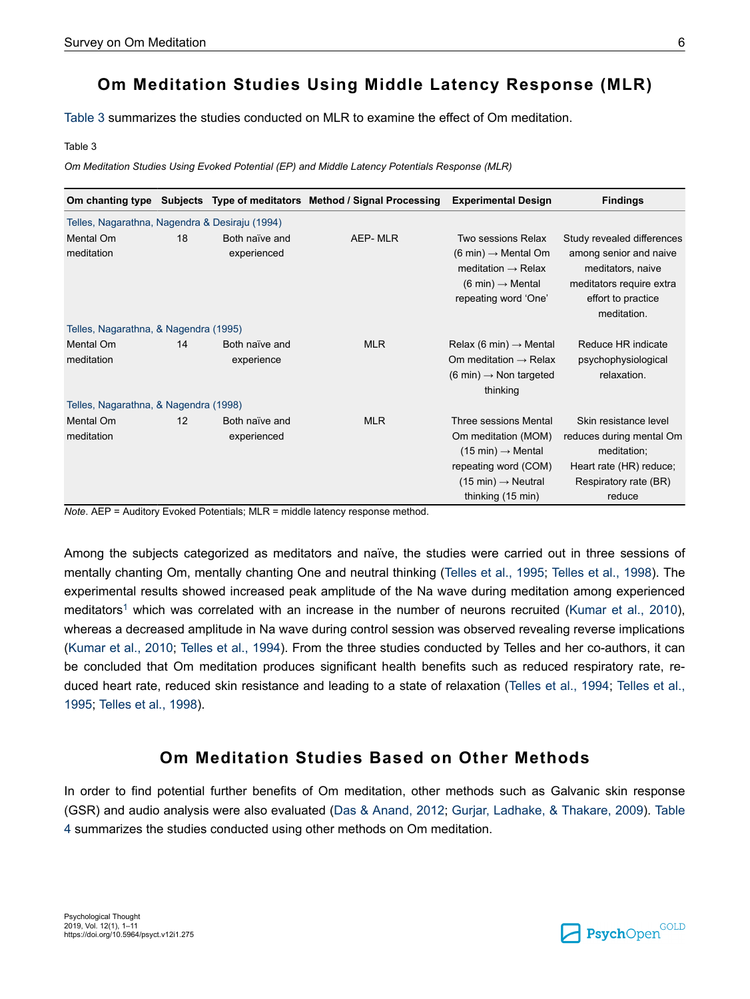# **Om Meditation Studies Using Middle Latency Response (MLR)**

Table 3 summarizes the studies conducted on MLR to examine the effect of Om meditation.

Table 3

*Om Meditation Studies Using Evoked Potential (EP) and Middle Latency Potentials Response (MLR)*

|                                                |    |                               | Om chanting type Subjects Type of meditators Method / Signal Processing | <b>Experimental Design</b>                                                                                                                                                          | <b>Findings</b>                                                                                                                            |
|------------------------------------------------|----|-------------------------------|-------------------------------------------------------------------------|-------------------------------------------------------------------------------------------------------------------------------------------------------------------------------------|--------------------------------------------------------------------------------------------------------------------------------------------|
| Telles, Nagarathna, Nagendra & Desiraju (1994) |    |                               |                                                                         |                                                                                                                                                                                     |                                                                                                                                            |
| Mental Om<br>meditation                        | 18 | Both naïve and<br>experienced | AEP-MLR                                                                 | Two sessions Relax<br>$(6 \text{ min}) \rightarrow \text{Mental Om}$<br>meditation $\rightarrow$ Relax<br>$(6 \text{ min}) \rightarrow \text{Mental}$<br>repeating word 'One'       | Study revealed differences<br>among senior and naive<br>meditators, naive<br>meditators require extra<br>effort to practice<br>meditation. |
| Telles, Nagarathna, & Nagendra (1995)          |    |                               |                                                                         |                                                                                                                                                                                     |                                                                                                                                            |
| Mental Om<br>meditation                        | 14 | Both naïve and<br>experience  | <b>MLR</b>                                                              | Relax (6 min) $\rightarrow$ Mental<br>Om meditation $\rightarrow$ Relax<br>$(6 \text{ min}) \rightarrow$ Non targeted<br>thinking                                                   | Reduce HR indicate<br>psychophysiological<br>relaxation.                                                                                   |
| Telles, Nagarathna, & Nagendra (1998)          |    |                               |                                                                         |                                                                                                                                                                                     |                                                                                                                                            |
| Mental Om<br>meditation                        | 12 | Both naïve and<br>experienced | <b>MLR</b>                                                              | Three sessions Mental<br>Om meditation (MOM)<br>$(15 \text{ min}) \rightarrow \text{Mental}$<br>repeating word (COM)<br>$(15 \text{ min}) \rightarrow$ Neutral<br>thinking (15 min) | Skin resistance level<br>reduces during mental Om<br>meditation;<br>Heart rate (HR) reduce;<br>Respiratory rate (BR)<br>reduce             |

*Note*. AEP = Auditory Evoked Potentials; MLR = middle latency response method.

Among the subjects categorized as meditators and naïve, the studies were carried out in three sessions of mentally chanting Om, mentally chanting One and neutral thinking [\(Telles et al., 1995](#page-10-0); [Telles et al., 1998\)](#page-10-0). The experimental results showed increased peak amplitude of the Na wave during meditation among experienced meditators<sup>[1](#page-7-0)</sup> which was correlated with an increase in the number of neurons recruited [\(Kumar et al., 2010](#page-9-0)), whereas a decreased amplitude in Na wave during control session was observed revealing reverse implications [\(Kumar et al., 2010;](#page-9-0) [Telles et al., 1994\)](#page-10-0). From the three studies conducted by Telles and her co-authors, it can be concluded that Om meditation produces significant health benefits such as reduced respiratory rate, reduced heart rate, reduced skin resistance and leading to a state of relaxation [\(Telles et al., 1994](#page-10-0); [Telles et al.,](#page-10-0) [1995](#page-10-0); [Telles et al., 1998\)](#page-10-0).

# **Om Meditation Studies Based on Other Methods**

In order to find potential further benefits of Om meditation, other methods such as Galvanic skin response (GSR) and audio analysis were also evaluated [\(Das & Anand, 2012](#page-8-0); [Gurjar, Ladhake, & Thakare, 2009](#page-8-0)). [Table](#page-6-0) [4](#page-6-0) summarizes the studies conducted using other methods on Om meditation.

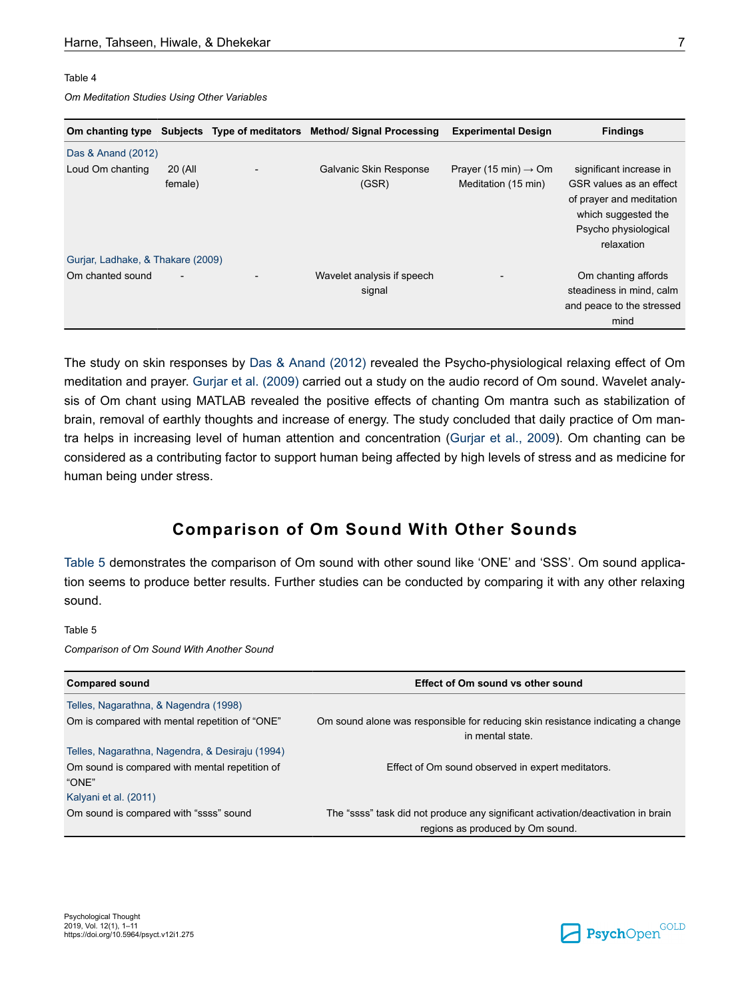#### <span id="page-6-0"></span>Table 4

*Om Meditation Studies Using Other Variables*

|                                   |                    | Om chanting type Subjects Type of meditators Method/Signal Processing | <b>Experimental Design</b>                              | <b>Findings</b>                                                                                       |
|-----------------------------------|--------------------|-----------------------------------------------------------------------|---------------------------------------------------------|-------------------------------------------------------------------------------------------------------|
| Das & Anand (2012)                |                    |                                                                       |                                                         |                                                                                                       |
| Loud Om chanting                  | 20 (All<br>female) | Galvanic Skin Response<br>(GSR)                                       | Prayer (15 min) $\rightarrow$ Om<br>Meditation (15 min) | significant increase in<br>GSR values as an effect<br>of prayer and meditation<br>which suggested the |
| Gurjar, Ladhake, & Thakare (2009) |                    |                                                                       |                                                         | Psycho physiological<br>relaxation                                                                    |
| Om chanted sound                  |                    |                                                                       |                                                         |                                                                                                       |
|                                   |                    | Wavelet analysis if speech<br>signal                                  |                                                         | Om chanting affords<br>steadiness in mind, calm                                                       |
|                                   |                    |                                                                       |                                                         | and peace to the stressed                                                                             |
|                                   |                    |                                                                       |                                                         | mind                                                                                                  |

The study on skin responses by [Das & Anand \(2012\)](#page-8-0) revealed the Psycho-physiological relaxing effect of Om meditation and prayer. [Gurjar et al. \(2009\)](#page-8-0) carried out a study on the audio record of Om sound. Wavelet analysis of Om chant using MATLAB revealed the positive effects of chanting Om mantra such as stabilization of brain, removal of earthly thoughts and increase of energy. The study concluded that daily practice of Om mantra helps in increasing level of human attention and concentration ([Gurjar et al., 2009](#page-8-0)). Om chanting can be considered as a contributing factor to support human being affected by high levels of stress and as medicine for human being under stress.

## **Comparison of Om Sound With Other Sounds**

Table 5 demonstrates the comparison of Om sound with other sound like 'ONE' and 'SSS'. Om sound application seems to produce better results. Further studies can be conducted by comparing it with any other relaxing sound.

#### Table 5

*Comparison of Om Sound With Another Sound*

| <b>Compared sound</b>                                                            | <b>Effect of Om sound vs other sound</b>                                                            |
|----------------------------------------------------------------------------------|-----------------------------------------------------------------------------------------------------|
| Telles, Nagarathna, & Nagendra (1998)                                            |                                                                                                     |
| Om is compared with mental repetition of "ONE"                                   | Om sound alone was responsible for reducing skin resistance indicating a change<br>in mental state. |
| Telles, Nagarathna, Nagendra, & Desiraju (1994)                                  |                                                                                                     |
| Om sound is compared with mental repetition of<br>"ONE"<br>Kalyani et al. (2011) | Effect of Om sound observed in expert meditators.                                                   |
| Om sound is compared with "ssss" sound                                           | The "ssss" task did not produce any significant activation/deactivation in brain                    |
|                                                                                  | regions as produced by Om sound.                                                                    |

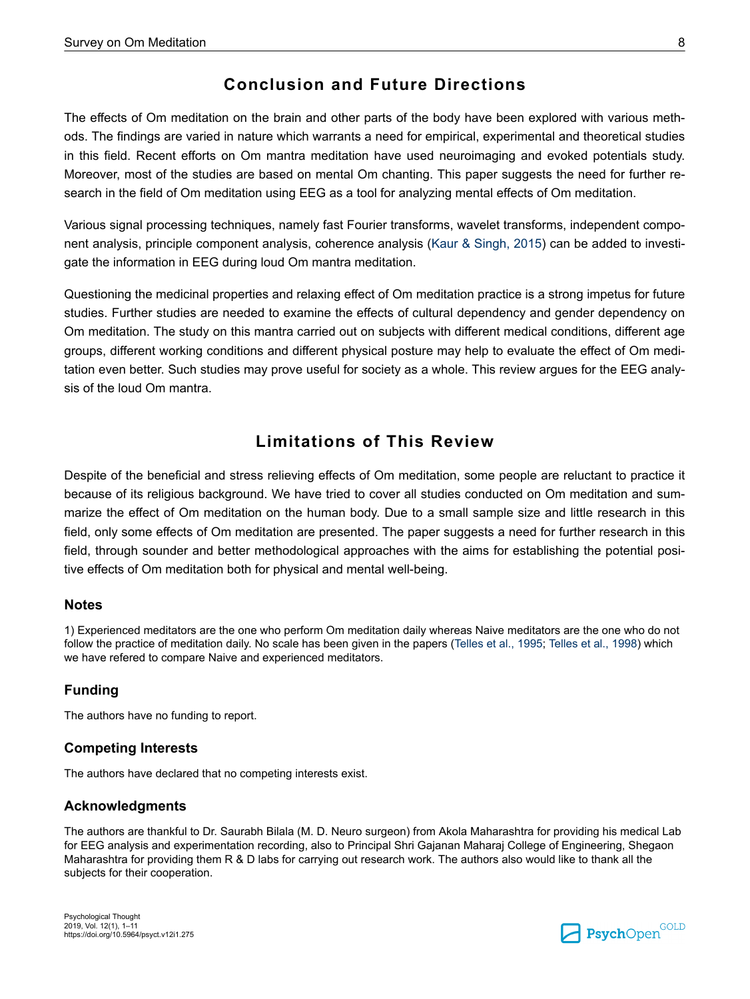# **Conclusion and Future Directions**

<span id="page-7-0"></span>The effects of Om meditation on the brain and other parts of the body have been explored with various methods. The findings are varied in nature which warrants a need for empirical, experimental and theoretical studies in this field. Recent efforts on Om mantra meditation have used neuroimaging and evoked potentials study. Moreover, most of the studies are based on mental Om chanting. This paper suggests the need for further research in the field of Om meditation using EEG as a tool for analyzing mental effects of Om meditation.

Various signal processing techniques, namely fast Fourier transforms, wavelet transforms, independent component analysis, principle component analysis, coherence analysis ([Kaur & Singh, 2015](#page-9-0)) can be added to investigate the information in EEG during loud Om mantra meditation.

Questioning the medicinal properties and relaxing effect of Om meditation practice is a strong impetus for future studies. Further studies are needed to examine the effects of cultural dependency and gender dependency on Om meditation. The study on this mantra carried out on subjects with different medical conditions, different age groups, different working conditions and different physical posture may help to evaluate the effect of Om meditation even better. Such studies may prove useful for society as a whole. This review argues for the EEG analysis of the loud Om mantra.

# **Limitations of This Review**

Despite of the beneficial and stress relieving effects of Om meditation, some people are reluctant to practice it because of its religious background. We have tried to cover all studies conducted on Om meditation and summarize the effect of Om meditation on the human body. Due to a small sample size and little research in this field, only some effects of Om meditation are presented. The paper suggests a need for further research in this field, through sounder and better methodological approaches with the aims for establishing the potential positive effects of Om meditation both for physical and mental well-being.

#### **Notes**

1) Experienced meditators are the one who perform Om meditation daily whereas Naive meditators are the one who do not follow the practice of meditation daily. No scale has been given in the papers ([Telles et al., 1995](#page-10-0); [Telles et al., 1998](#page-10-0)) which we have refered to compare Naive and experienced meditators.

### **Funding**

The authors have no funding to report.

#### **Competing Interests**

The authors have declared that no competing interests exist.

#### **Acknowledgments**

The authors are thankful to Dr. Saurabh Bilala (M. D. Neuro surgeon) from Akola Maharashtra for providing his medical Lab for EEG analysis and experimentation recording, also to Principal Shri Gajanan Maharaj College of Engineering, Shegaon Maharashtra for providing them R & D labs for carrying out research work. The authors also would like to thank all the subjects for their cooperation.

Psychological Thought 2019, Vol. 12(1), 1–11 https://doi.org/10.5964/psyct.v12i1.275

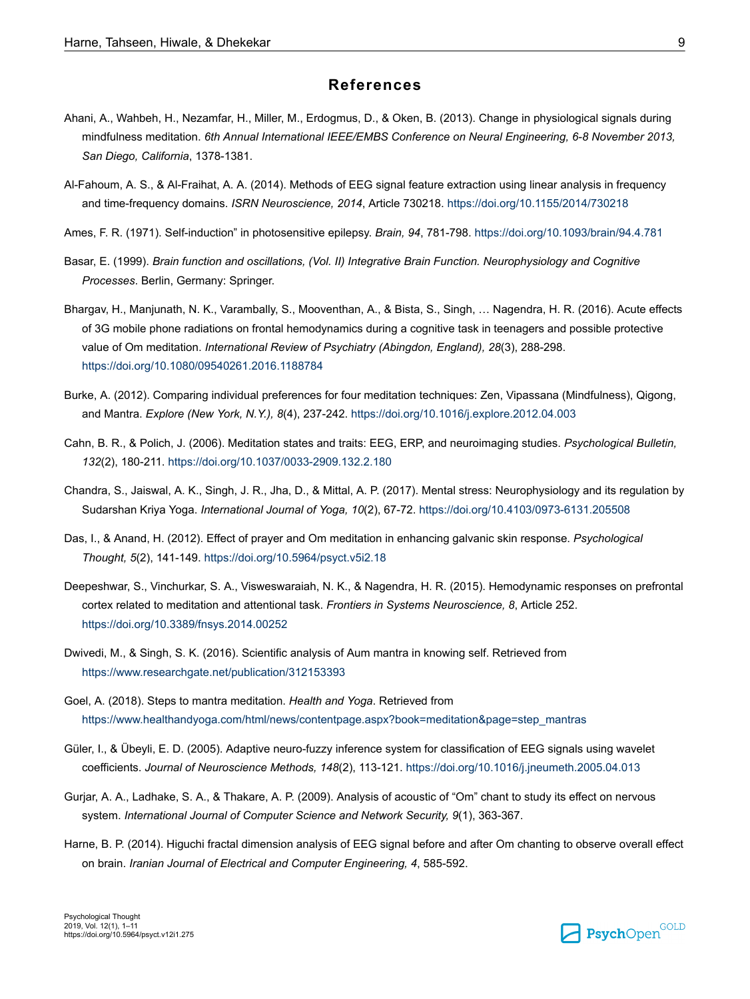#### **References**

- <span id="page-8-0"></span>Ahani, A., Wahbeh, H., Nezamfar, H., Miller, M., Erdogmus, D., & Oken, B. (2013). Change in physiological signals during mindfulness meditation. *6th Annual International IEEE/EMBS Conference on Neural Engineering, 6-8 November 2013, San Diego, California*, 1378-1381.
- Al-Fahoum, A. S., & Al-Fraihat, A. A. (2014). Methods of EEG signal feature extraction using linear analysis in frequency and time-frequency domains. *ISRN Neuroscience, 2014*, Article 730218.<https://doi.org/10.1155/2014/730218>
- Ames, F. R. (1971). Self-induction" in photosensitive epilepsy. *Brain, 94*, 781-798.<https://doi.org/10.1093/brain/94.4.781>
- Basar, E. (1999). *Brain function and oscillations, (Vol. II) Integrative Brain Function. Neurophysiology and Cognitive Processes*. Berlin, Germany: Springer.
- Bhargav, H., Manjunath, N. K., Varambally, S., Mooventhan, A., & Bista, S., Singh, … Nagendra, H. R. (2016). Acute effects of 3G mobile phone radiations on frontal hemodynamics during a cognitive task in teenagers and possible protective value of Om meditation. *International Review of Psychiatry (Abingdon, England), 28*(3), 288-298. <https://doi.org/10.1080/09540261.2016.1188784>
- Burke, A. (2012). Comparing individual preferences for four meditation techniques: Zen, Vipassana (Mindfulness), Qigong, and Mantra. *Explore (New York, N.Y.), 8*(4), 237-242. <https://doi.org/10.1016/j.explore.2012.04.003>
- Cahn, B. R., & Polich, J. (2006). Meditation states and traits: EEG, ERP, and neuroimaging studies. *Psychological Bulletin, 132*(2), 180-211. <https://doi.org/10.1037/0033-2909.132.2.180>
- Chandra, S., Jaiswal, A. K., Singh, J. R., Jha, D., & Mittal, A. P. (2017). Mental stress: Neurophysiology and its regulation by Sudarshan Kriya Yoga. *International Journal of Yoga, 10*(2), 67-72.<https://doi.org/10.4103/0973-6131.205508>
- Das, I., & Anand, H. (2012). Effect of prayer and Om meditation in enhancing galvanic skin response. *Psychological Thought, 5*(2), 141-149.<https://doi.org/10.5964/psyct.v5i2.18>
- Deepeshwar, S., Vinchurkar, S. A., Visweswaraiah, N. K., & Nagendra, H. R. (2015). Hemodynamic responses on prefrontal cortex related to meditation and attentional task. *Frontiers in Systems Neuroscience, 8*, Article 252. <https://doi.org/10.3389/fnsys.2014.00252>
- Dwivedi, M., & Singh, S. K. (2016). Scientific analysis of Aum mantra in knowing self. Retrieved from <https://www.researchgate.net/publication/312153393>
- Goel, A. (2018). Steps to mantra meditation. *Health and Yoga*. Retrieved from [https://www.healthandyoga.com/html/news/contentpage.aspx?book=meditation&page=step\\_mantras](https://www.healthandyoga.com/html/news/contentpage.aspx?book=meditation&page=step_mantras)
- Güler, I., & Übeyli, E. D. (2005). Adaptive neuro-fuzzy inference system for classification of EEG signals using wavelet coefficients. *Journal of Neuroscience Methods, 148*(2), 113-121. <https://doi.org/10.1016/j.jneumeth.2005.04.013>
- Gurjar, A. A., Ladhake, S. A., & Thakare, A. P. (2009). Analysis of acoustic of "Om" chant to study its effect on nervous system. *International Journal of Computer Science and Network Security, 9*(1), 363-367.
- Harne, B. P. (2014). Higuchi fractal dimension analysis of EEG signal before and after Om chanting to observe overall effect on brain. *Iranian Journal of Electrical and Computer Engineering, 4*, 585-592.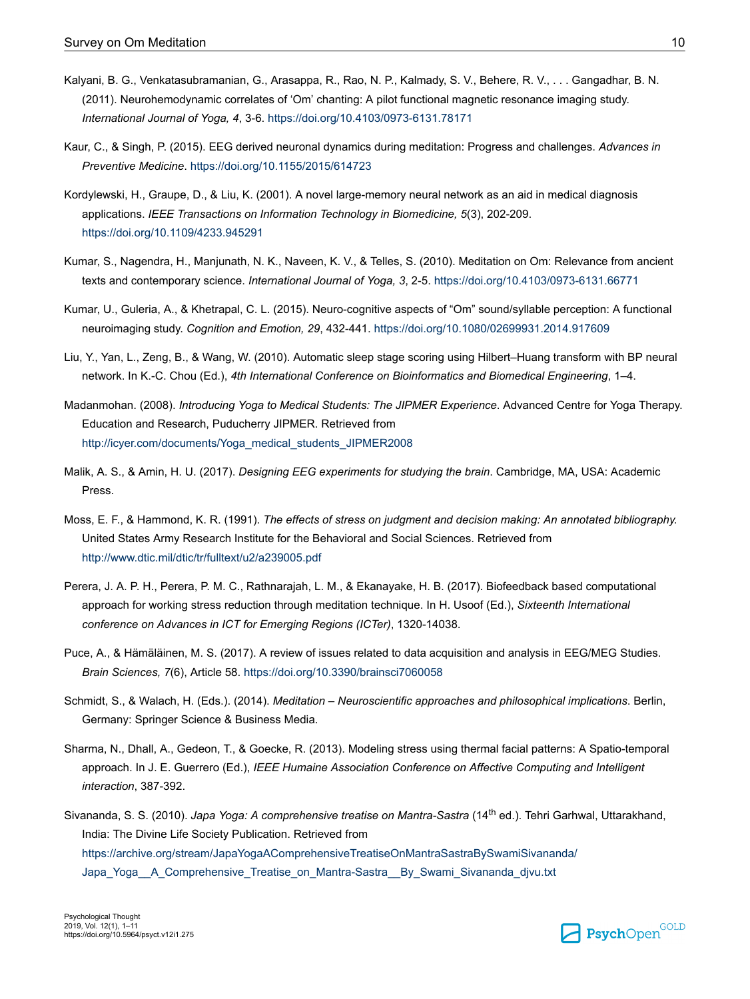- <span id="page-9-0"></span>Kalyani, B. G., Venkatasubramanian, G., Arasappa, R., Rao, N. P., Kalmady, S. V., Behere, R. V., . . . Gangadhar, B. N. (2011). Neurohemodynamic correlates of 'Om' chanting: A pilot functional magnetic resonance imaging study. *International Journal of Yoga, 4*, 3-6. <https://doi.org/10.4103/0973-6131.78171>
- Kaur, C., & Singh, P. (2015). EEG derived neuronal dynamics during meditation: Progress and challenges. *Advances in Preventive Medicine*.<https://doi.org/10.1155/2015/614723>
- Kordylewski, H., Graupe, D., & Liu, K. (2001). A novel large-memory neural network as an aid in medical diagnosis applications. *IEEE Transactions on Information Technology in Biomedicine, 5*(3), 202-209. <https://doi.org/10.1109/4233.945291>
- Kumar, S., Nagendra, H., Manjunath, N. K., Naveen, K. V., & Telles, S. (2010). Meditation on Om: Relevance from ancient texts and contemporary science. *International Journal of Yoga, 3*, 2-5. <https://doi.org/10.4103/0973-6131.66771>
- Kumar, U., Guleria, A., & Khetrapal, C. L. (2015). Neuro-cognitive aspects of "Om" sound/syllable perception: A functional neuroimaging study. *Cognition and Emotion, 29*, 432-441.<https://doi.org/10.1080/02699931.2014.917609>
- Liu, Y., Yan, L., Zeng, B., & Wang, W. (2010). Automatic sleep stage scoring using Hilbert–Huang transform with BP neural network. In K.-C. Chou (Ed.), *4th International Conference on Bioinformatics and Biomedical Engineering*, 1–4.
- Madanmohan. (2008). *Introducing Yoga to Medical Students: The JIPMER Experience*. Advanced Centre for Yoga Therapy. Education and Research, Puducherry JIPMER. Retrieved from [http://icyer.com/documents/Yoga\\_medical\\_students\\_JIPMER2008](http://icyer.com/documents/Yoga_medical_students_JIPMER2008)
- Malik, A. S., & Amin, H. U. (2017). *Designing EEG experiments for studying the brain*. Cambridge, MA, USA: Academic Press.
- Moss, E. F., & Hammond, K. R. (1991). *The effects of stress on judgment and decision making: An annotated bibliography.* United States Army Research Institute for the Behavioral and Social Sciences. Retrieved from <http://www.dtic.mil/dtic/tr/fulltext/u2/a239005.pdf>
- Perera, J. A. P. H., Perera, P. M. C., Rathnarajah, L. M., & Ekanayake, H. B. (2017). Biofeedback based computational approach for working stress reduction through meditation technique. In H. Usoof (Ed.), *Sixteenth International conference on Advances in ICT for Emerging Regions (ICTer)*, 1320-14038.
- Puce, A., & Hämäläinen, M. S. (2017). A review of issues related to data acquisition and analysis in EEG/MEG Studies. *Brain Sciences, 7*(6), Article 58. <https://doi.org/10.3390/brainsci7060058>
- Schmidt, S., & Walach, H. (Eds.). (2014). *Meditation Neuroscientific approaches and philosophical implications*. Berlin, Germany: Springer Science & Business Media.
- Sharma, N., Dhall, A., Gedeon, T., & Goecke, R. (2013). Modeling stress using thermal facial patterns: A Spatio-temporal approach. In J. E. Guerrero (Ed.), *IEEE Humaine Association Conference on Affective Computing and Intelligent interaction*, 387-392.
- Sivananda, S. S. (2010). *Japa Yoga: A comprehensive treatise on Mantra-Sastra* (14th ed.). Tehri Garhwal, Uttarakhand, India: The Divine Life Society Publication. Retrieved from [https://archive.org/stream/JapaYogaAComprehensiveTreatiseOnMantraSastraBySwamiSivananda/](https://archive.org/stream/JapaYogaAComprehensiveTreatiseOnMantraSastraBySwamiSivananda/Japa_Yoga__A_Comprehensive_Treatise_on_Mantra-Sastra__By_Swami_Sivananda_djvu.txt) [Japa\\_Yoga\\_\\_A\\_Comprehensive\\_Treatise\\_on\\_Mantra-Sastra\\_\\_By\\_Swami\\_Sivananda\\_djvu.txt](https://archive.org/stream/JapaYogaAComprehensiveTreatiseOnMantraSastraBySwamiSivananda/Japa_Yoga__A_Comprehensive_Treatise_on_Mantra-Sastra__By_Swami_Sivananda_djvu.txt)